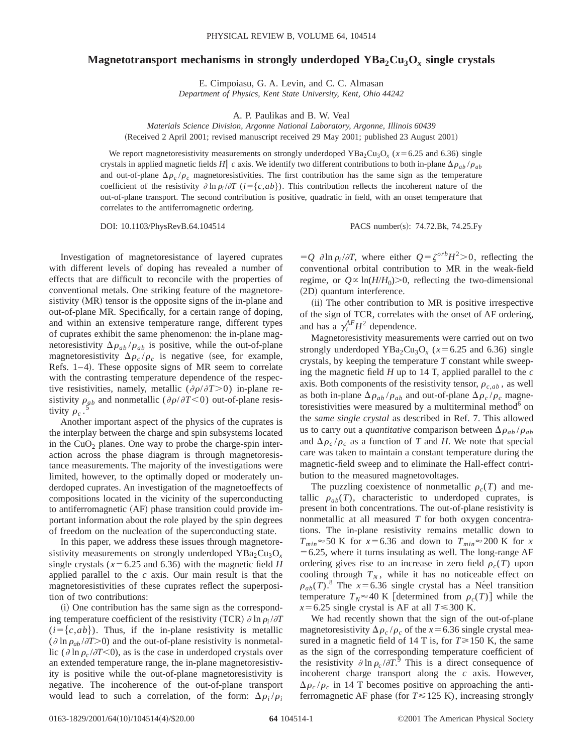## **Magnetotransport mechanisms in strongly underdoped**  $YBa_2Cu_3O_r$  **single crystals**

E. Cimpoiasu, G. A. Levin, and C. C. Almasan *Department of Physics, Kent State University, Kent, Ohio 44242*

A. P. Paulikas and B. W. Veal

*Materials Science Division, Argonne National Laboratory, Argonne, Illinois 60439*

(Received 2 April 2001; revised manuscript received 29 May 2001; published 23 August 2001)

We report magnetoresistivity measurements on strongly underdoped YBa<sub>2</sub>Cu<sub>3</sub>O<sub>x</sub> ( $x = 6.25$  and 6.36) single crystals in applied magnetic fields *H*|| *c* axis. We identify two different contributions to both in-plane  $\Delta \rho_{ab} / \rho_{ab}$ and out-of-plane  $\Delta \rho_c / \rho_c$  magnetoresistivities. The first contribution has the same sign as the temperature coefficient of the resistivity  $\partial \ln \rho_i / \partial T$  ( $i = \{c, ab\}$ ). This contribution reflects the incoherent nature of the out-of-plane transport. The second contribution is positive, quadratic in field, with an onset temperature that correlates to the antiferromagnetic ordering.

DOI: 10.1103/PhysRevB.64.104514 PACS number(s): 74.72.Bk, 74.25.Fy

Investigation of magnetoresistance of layered cuprates with different levels of doping has revealed a number of effects that are difficult to reconcile with the properties of conventional metals. One striking feature of the magnetoresistivity (MR) tensor is the opposite signs of the in-plane and out-of-plane MR. Specifically, for a certain range of doping, and within an extensive temperature range, different types of cuprates exhibit the same phenomenon: the in-plane magnetoresistivity  $\Delta \rho_{ab}/\rho_{ab}$  is positive, while the out-of-plane magnetoresistivity  $\Delta \rho_c / \rho_c$  is negative (see, for example, Refs.  $1-4$ ). These opposite signs of MR seem to correlate with the contrasting temperature dependence of the respective resistivities, namely, metallic  $(\partial \rho / \partial T > 0)$  in-plane resistivity  $\rho_{ab}$  and nonmetallic ( $\partial \rho / \partial T < 0$ ) out-of-plane resistivity  $\rho_{ab}$ tivity  $\rho_c$ .

Another important aspect of the physics of the cuprates is the interplay between the charge and spin subsystems located in the  $CuO<sub>2</sub>$  planes. One way to probe the charge-spin interaction across the phase diagram is through magnetoresistance measurements. The majority of the investigations were limited, however, to the optimally doped or moderately underdoped cuprates. An investigation of the magnetoeffects of compositions located in the vicinity of the superconducting to antiferromagnetic (AF) phase transition could provide important information about the role played by the spin degrees of freedom on the nucleation of the superconducting state.

In this paper, we address these issues through magnetoresistivity measurements on strongly underdoped  $YBa<sub>2</sub>Cu<sub>3</sub>O<sub>x</sub>$ single crystals ( $x = 6.25$  and 6.36) with the magnetic field *H* applied parallel to the *c* axis. Our main result is that the magnetoresistivities of these cuprates reflect the superposition of two contributions:

(i) One contribution has the same sign as the corresponding temperature coefficient of the resistivity (TCR)  $\partial \ln \rho_i / \partial T$  $(i = \{c, ab\})$ . Thus, if the in-plane resistivity is metallic ( $\partial \ln \rho_{ab} / \partial T$ >0) and the out-of-plane resistivity is nonmetallic ( $\partial \ln \rho_c / \partial T \le 0$ ), as is the case in underdoped crystals over an extended temperature range, the in-plane magnetoresistivity is positive while the out-of-plane magnetoresistivity is negative. The incoherence of the out-of-plane transport would lead to such a correlation, of the form:  $\Delta \rho_i / \rho_i$   $=$ *Q*  $\partial \ln \rho_i / \partial T$ , where either  $Q = \zeta^{orb} H^2 > 0$ , reflecting the conventional orbital contribution to MR in the weak-field regime, or  $Q \propto \ln(H/H_0) > 0$ , reflecting the two-dimensional (2D) quantum interference.

(ii) The other contribution to MR is positive irrespective of the sign of TCR, correlates with the onset of AF ordering, and has a  $\gamma_i^{AF}H^2$  dependence.

Magnetoresistivity measurements were carried out on two strongly underdoped YBa<sub>2</sub>Cu<sub>3</sub>O<sub>x</sub> ( $x=6.25$  and 6.36) single crystals, by keeping the temperature *T* constant while sweeping the magnetic field *H* up to 14 T, applied parallel to the *c* axis. Both components of the resistivity tensor,  $\rho_{c,ab}$ , as well as both in-plane  $\Delta \rho_{ab} / \rho_{ab}$  and out-of-plane  $\Delta \rho_c / \rho_c$  magnetoresistivities were measured by a multiterminal method $6$  on the *same single crystal* as described in Ref. 7. This allowed us to carry out a *quantitative* comparison between  $\Delta \rho_{ab} / \rho_{ab}$ and  $\Delta \rho_c / \rho_c$  as a function of *T* and *H*. We note that special care was taken to maintain a constant temperature during the magnetic-field sweep and to eliminate the Hall-effect contribution to the measured magnetovoltages.

The puzzling coexistence of nonmetallic  $\rho_c(T)$  and metallic  $\rho_{ab}(T)$ , characteristic to underdoped cuprates, is present in both concentrations. The out-of-plane resistivity is nonmetallic at all measured *T* for both oxygen concentrations. The in-plane resistivity remains metallic down to  $T_{min}$   $\approx$  50 K for *x* = 6.36 and down to  $T_{min}$   $\approx$  200 K for *x*  $=6.25$ , where it turns insulating as well. The long-range AF ordering gives rise to an increase in zero field  $\rho_c(T)$  upon cooling through  $T_N$ , while it has no noticeable effect on  $\rho_{ab}(T)$ .<sup>8</sup> The *x*=6.36 single crystal has a Ne<sup>e</sup>l transition temperature  $T_N \approx 40 \text{ K}$  [determined from  $\rho_c(T)$ ] while the  $x = 6.25$  single crystal is AF at all  $T \le 300$  K.

We had recently shown that the sign of the out-of-plane magnetoresistivity  $\Delta \rho_c / \rho_c$  of the *x* = 6.36 single crystal measured in a magnetic field of 14 T is, for  $T \ge 150$  K, the same as the sign of the corresponding temperature coefficient of the resistivity  $\partial \ln \rho_c / \partial T$ .<sup>9</sup> This is a direct consequence of incoherent charge transport along the *c* axis. However,  $\Delta \rho_c / \rho_c$  in 14 T becomes positive on approaching the antiferromagnetic AF phase (for  $T \le 125$  K), increasing strongly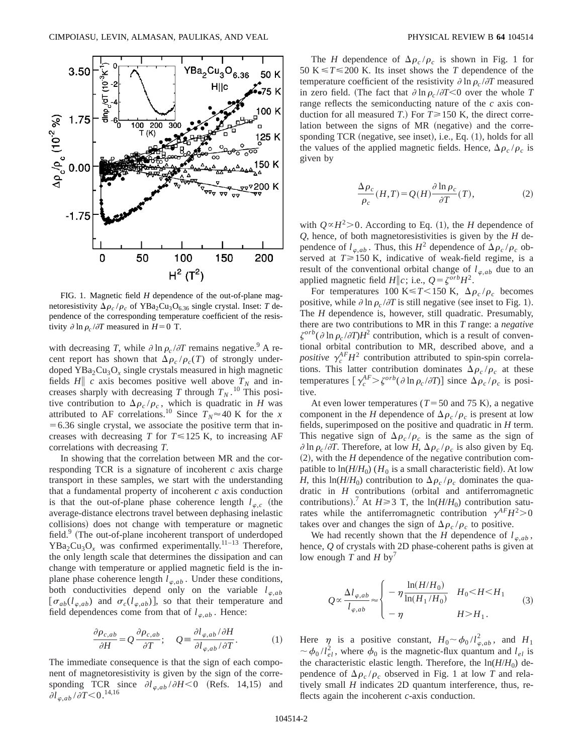

FIG. 1. Magnetic field *H* dependence of the out-of-plane magnetoresistivity  $\Delta \rho_c / \rho_c$  of YBa<sub>2</sub>Cu<sub>3</sub>O<sub>6.36</sub> single crystal. Inset: *T* dependence of the corresponding temperature coefficient of the resistivity  $\partial \ln \rho_c / \partial T$  measured in  $H=0$  T.

with decreasing *T*, while  $\partial \ln \rho_c / \partial T$  remains negative.<sup>9</sup> A recent report has shown that  $\Delta \rho_c / \rho_c(T)$  of strongly underdoped  $YBa<sub>2</sub>Cu<sub>3</sub>O<sub>x</sub>$  single crystals measured in high magnetic fields  $H\parallel c$  axis becomes positive well above  $T_N$  and increases sharply with decreasing *T* through  $T_N$ .<sup>10</sup> This positive contribution to  $\Delta \rho_c / \rho_c$ , which is quadratic in *H* was attributed to AF correlations.<sup>10</sup> Since  $T_N \approx 40$  K for the *x*  $=6.36$  single crystal, we associate the positive term that increases with decreasing *T* for  $T \le 125$  K, to increasing AF correlations with decreasing *T*.

In showing that the correlation between MR and the corresponding TCR is a signature of incoherent *c* axis charge transport in these samples, we start with the understanding that a fundamental property of incoherent *c* axis conduction is that the out-of-plane phase coherence length  $l_{\varphi,c}$  (the average-distance electrons travel between dephasing inelastic collisions) does not change with temperature or magnetic field. $9$  (The out-of-plane incoherent transport of underdoped  $YBa<sub>2</sub>Cu<sub>3</sub>O<sub>x</sub>$  was confirmed experimentally.<sup>11–13</sup> Therefore, the only length scale that determines the dissipation and can change with temperature or applied magnetic field is the inplane phase coherence length  $l_{\varphi,ab}$ . Under these conditions, both conductivities depend only on the variable  $l_{\varphi,ab}$  $[\sigma_{ab}(l_{\varphi,ab})$  and  $\sigma_c(l_{\varphi,ab})$ , so that their temperature and field dependences come from that of  $l_{\varphi,ab}$ . Hence:

$$
\frac{\partial \rho_{c,ab}}{\partial H} = Q \frac{\partial \rho_{c,ab}}{\partial T}; \quad Q = \frac{\partial l_{\varphi,ab}}{\partial l_{\varphi,ab}/\partial T}.
$$
 (1)

The immediate consequence is that the sign of each component of magnetoresistivity is given by the sign of the corresponding TCR since  $\partial l_{\varphi,ab}/\partial H < 0$  (Refs. 14,15) and  $\partial l_{\varphi,ab}$  /  $\bar{\partial T}$   $\!\!<$   $\!0.^{\,14,16}$ 

The *H* dependence of  $\Delta \rho_c / \rho_c$  is shown in Fig. 1 for 50 K  $\leq$  T $\leq$  200 K. Its inset shows the *T* dependence of the temperature coefficient of the resistivity  $\partial \ln \rho_c / \partial T$  measured in zero field. (The fact that  $\partial \ln \rho_c / \partial T \le 0$  over the whole *T* range reflects the semiconducting nature of the *c* axis conduction for all measured *T*.) For  $T \ge 150$  K, the direct correlation between the signs of MR (negative) and the corresponding TCR (negative, see inset), i.e., Eq.  $(1)$ , holds for all the values of the applied magnetic fields. Hence,  $\Delta \rho_c / \rho_c$  is given by

$$
\frac{\Delta \rho_c}{\rho_c}(H, T) = Q(H) \frac{\partial \ln \rho_c}{\partial T}(T),\tag{2}
$$

with  $Q \propto H^2 > 0$ . According to Eq. (1), the *H* dependence of *Q*, hence, of both magnetoresistivities is given by the *H* dependence of  $l_{\varphi,ab}$ . Thus, this  $H^2$  dependence of  $\Delta \rho_c / \rho_c$  observed at  $T \ge 150$  K, indicative of weak-field regime, is a result of the conventional orbital change of  $l_{\varphi,ab}$  due to an applied magnetic field  $H\|c$ ; i.e.,  $Q = \zeta^{orb}H^2$ .

For temperatures 100 K \lefts  $T$  < 150 K,  $\Delta \rho_c / \rho_c$  becomes positive, while  $\partial \ln \rho_c / \partial T$  is still negative (see inset to Fig. 1). The *H* dependence is, however, still quadratic. Presumably, there are two contributions to MR in this *T* range: a *negative*  $\zeta^{orb}(\partial \ln \rho_c/\partial T)H^2$  contribution, which is a result of conventional orbital contribution to MR, described above, and a *positive*  $\gamma_c^{\text{AF}}H^2$  contribution attributed to spin-spin correlations. This latter contribution dominates  $\Delta \rho_c / \rho_c$  at these temperatures  $[\gamma_c^{AF} > \zeta^{orb}(\partial \ln \rho_c/\partial T)]$  since  $\Delta \rho_c / \rho_c$  is positive.

At even lower temperatures ( $T = 50$  and 75 K), a negative component in the *H* dependence of  $\Delta \rho_c / \rho_c$  is present at low fields, superimposed on the positive and quadratic in *H* term. This negative sign of  $\Delta \rho_c / \rho_c$  is the same as the sign of  $\partial \ln \rho_c / \partial T$ . Therefore, at low *H*,  $\Delta \rho_c / \rho_c$  is also given by Eq.  $(2)$ , with the *H* dependence of the negative contribution compatible to  $ln(H/H_0)$  ( $H_0$  is a small characteristic field). At low *H*, this ln(*H*/*H*<sub>0</sub>) contribution to  $\Delta \rho_c / \rho_c$  dominates the quadratic in  $H$  contributions (orbital and antiferromagnetic contributions).<sup>7</sup> At  $H \ge 3$  T, the  $\ln(H/H_0)$  contribution saturates while the antiferromagnetic contribution  $\gamma^{AF}H^{2}>0$ takes over and changes the sign of  $\Delta \rho_c / \rho_c$  to positive.

We had recently shown that the *H* dependence of  $l_{\varphi,ab}$ , hence, *Q* of crystals with 2D phase-coherent paths is given at low enough  $T$  and  $H$  by<sup>7</sup>

$$
Q \propto \frac{\Delta l_{\varphi,ab}}{l_{\varphi,ab}} \approx \begin{cases} -\eta \frac{\ln(H/H_0)}{\ln(H_1/H_0)} & H_0 < H < H_1 \\ -\eta & H > H_1. \end{cases} \tag{3}
$$

Here  $\eta$  is a positive constant,  $H_0 \sim \phi_0 / l_{\varphi,ab}^2$ , and  $H_1$  $\sim \phi_0 / l_{el}^2$ , where  $\phi_0$  is the magnetic-flux quantum and  $l_{el}$  is the characteristic elastic length. Therefore, the  $ln(H/H_0)$  dependence of  $\Delta \rho_c / \rho_c$  observed in Fig. 1 at low *T* and relatively small *H* indicates 2D quantum interference, thus, reflects again the incoherent *c*-axis conduction.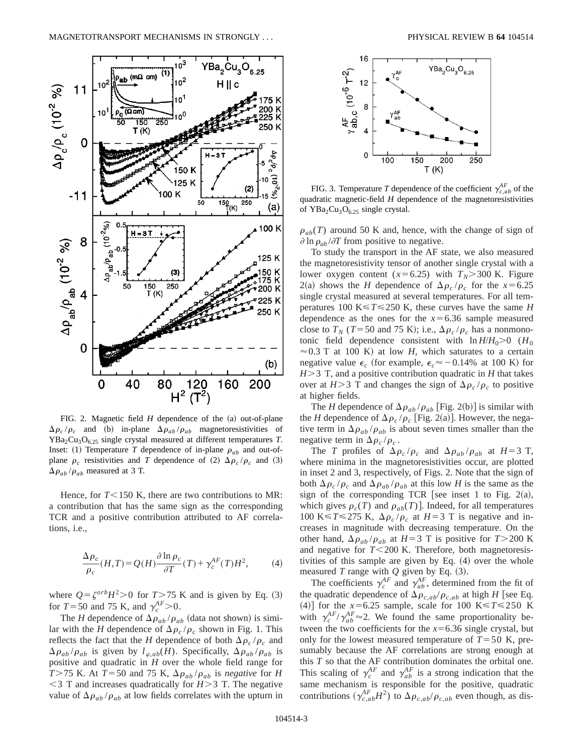

FIG. 2. Magnetic field  $H$  dependence of the  $(a)$  out-of-plane  $\Delta \rho_c / \rho_c$  and (b) in-plane  $\Delta \rho_{ab} / \rho_{ab}$  magnetoresistivities of  $YBa<sub>2</sub>Cu<sub>3</sub>O<sub>6.25</sub>$  single crystal measured at different temperatures *T*. Inset: (1) Temperature *T* dependence of in-plane  $\rho_{ab}$  and out-ofplane  $\rho_c$  resistivities and *T* dependence of (2)  $\Delta \rho_c / \rho_c$  and (3)  $\Delta\rho_{ab}/\rho_{ab}$  measured at 3 T.

Hence, for  $T < 150$  K, there are two contributions to MR: a contribution that has the same sign as the corresponding TCR and a positive contribution attributed to AF correlations, i.e.,

$$
\frac{\Delta \rho_c}{\rho_c}(H,T) = Q(H) \frac{\partial \ln \rho_c}{\partial T}(T) + \gamma_c^{AF}(T)H^2,\tag{4}
$$

where  $Q = \zeta^{orb}H^2 > 0$  for  $T > 75$  K and is given by Eq. (3) for  $T = 50$  and 75 K, and  $\gamma_c^{AF} > 0$ .

The *H* dependence of  $\Delta \rho_{ab} / \rho_{ab}$  (data not shown) is similar with the *H* dependence of  $\Delta \rho_c / \rho_c$  shown in Fig. 1. This reflects the fact that the *H* dependence of both  $\Delta \rho_c / \rho_c$  and  $\Delta \rho_{ab}/\rho_{ab}$  is given by  $l_{\varphi,ab}(H)$ . Specifically,  $\Delta \rho_{ab}/\rho_{ab}$  is positive and quadratic in *H* over the whole field range for *T*>75 K. At *T*=50 and 75 K,  $\Delta \rho_{ab}/\rho_{ab}$  is *negative* for *H*  $<$ 3 T and increases quadratically for *H* $>$ 3 T. The negative value of  $\Delta \rho_{ab} / \rho_{ab}$  at low fields correlates with the upturn in



FIG. 3. Temperature *T* dependence of the coefficient  $\gamma_{c,ab}^{AF}$  of the quadratic magnetic-field *H* dependence of the magnetoresistivities of  $YBa<sub>2</sub>Cu<sub>3</sub>O<sub>6.25</sub>$  single crystal.

 $\rho_{ab}(T)$  around 50 K and, hence, with the change of sign of  $\partial \ln \rho_{ab}/\partial T$  from positive to negative.

To study the transport in the AF state, we also measured the magnetoresistivity tensor of another single crystal with a lower oxygen content ( $x=6.25$ ) with  $T_N$ >300 K. Figure 2(a) shows the *H* dependence of  $\Delta \rho_c / \rho_c$  for the *x* = 6.25 single crystal measured at several temperatures. For all temperatures 100 K $\leq$  *T* $\leq$  250 K, these curves have the same *H* dependence as the ones for the  $x=6.36$  sample measured close to  $T_N$  (*T*=50 and 75 K); i.e.,  $\Delta \rho_c / \rho_c$  has a nonmonotonic field dependence consistent with  $\ln H/H_0 > 0$  ( $H_0$ )  $\approx$  0.3 T at 100 K) at low *H*, which saturates to a certain negative value  $\epsilon_c$  (for example,  $\epsilon_c \approx -0.14\%$  at 100 K) for  $H > 3$  T, and a positive contribution quadratic in *H* that takes over at  $H > 3$  T and changes the sign of  $\Delta \rho_c / \rho_c$  to positive at higher fields.

The *H* dependence of  $\Delta \rho_{ab} / \rho_{ab}$  [Fig. 2(b)] is similar with the *H* dependence of  $\Delta \rho_c / \rho_c$  [Fig. 2(a)]. However, the negative term in  $\Delta \rho_{ab} / \rho_{ab}$  is about seven times smaller than the negative term in  $\Delta \rho_c / \rho_c$ .

The *T* profiles of  $\Delta \rho_c / \rho_c$  and  $\Delta \rho_{ab} / \rho_{ab}$  at  $H=3$  T, where minima in the magnetoresistivities occur, are plotted in inset 2 and 3, respectively, of Figs. 2. Note that the sign of both  $\Delta \rho_c / \rho_c$  and  $\Delta \rho_{ab} / \rho_{ab}$  at this low *H* is the same as the sign of the corresponding TCR [see inset 1 to Fig. 2(a), which gives  $\rho_c(T)$  and  $\rho_{ab}(T)$ . Indeed, for all temperatures 100 K  $\leq$  T  $\leq$  275 K,  $\Delta \rho_c / \rho_c$  at *H* = 3 T is negative and increases in magnitude with decreasing temperature. On the other hand,  $\Delta \rho_{ab} / \rho_{ab}$  at *H*=3 T is positive for *T*>200 K and negative for  $T < 200$  K. Therefore, both magnetoresistivities of this sample are given by Eq.  $(4)$  over the whole measured  $T$  range with  $Q$  given by Eq.  $(3)$ .

The coefficients  $\gamma_c^{AF}$  and  $\gamma_{ab}^{AF}$ , determined from the fit of the quadratic dependence of  $\Delta \rho_{c,ab}/\rho_{c,ab}$  at high *H* [see Eq. (4)] for the  $x=6.25$  sample, scale for 100 K  $\leq$  T  $\leq$  250 K with  $\gamma_c^{AF}/\gamma_{ab}^{AF} \approx 2$ . We found the same proportionality between the two coefficients for the  $x=6.36$  single crystal, but only for the lowest measured temperature of  $T=50$  K, presumably because the AF correlations are strong enough at this *T* so that the AF contribution dominates the orbital one. This scaling of  $\gamma_c^{AF}$  and  $\gamma_{ab}^{AF}$  is a strong indication that the same mechanism is responsible for the positive, quadratic contributions  $(\gamma_{c,ab}^{AF}H^2)$  to  $\Delta \rho_{c,ab}/\rho_{c,ab}$  even though, as dis